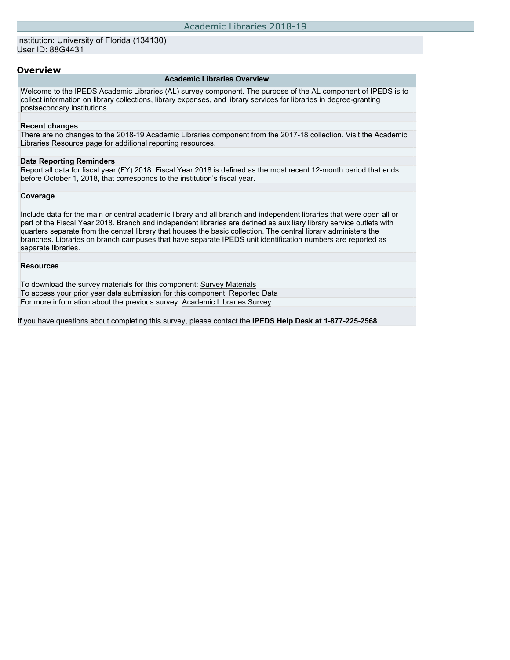### Institution: University of Florida (134130) User ID: 88G4431

### **Overview**

#### **Academic Libraries Overview**

Welcome to the IPEDS Academic Libraries (AL) survey component. The purpose of the AL component of IPEDS is to collect information on library collections, library expenses, and library services for libraries in degree-granting postsecondary institutions.

#### **Recent changes**

There are no changes to the 2018-19 Academic Libraries component from the 2017-18 collection. Visit the [Academic](https://nces.ed.gov/ipeds/report-your-data/resource-center-academic-libraries) [Libraries Resource](https://nces.ed.gov/ipeds/report-your-data/resource-center-academic-libraries) page for additional reporting resources.

#### **Data Reporting Reminders**

Report all data for fiscal year (FY) 2018. Fiscal Year 2018 is defined as the most recent 12-month period that ends before October 1, 2018, that corresponds to the institution's fiscal year.

#### **Coverage**

Include data for the main or central academic library and all branch and independent libraries that were open all or part of the Fiscal Year 2018. Branch and independent libraries are defined as auxiliary library service outlets with quarters separate from the central library that houses the basic collection. The central library administers the branches. Libraries on branch campuses that have separate IPEDS unit identification numbers are reported as separate libraries.

#### **Resources**

To download the survey materials for this component: [Survey Materials](https://surveys.nces.ed.gov/ipeds/VisIndex.aspx) To access your prior year data submission for this component: [Reported Data](http://192.168.102.153/ipeds2k19_20_py/PriorYearDataRedirect.aspx?survey_id=15) For more information about the previous survey: [Academic Libraries Survey](https://nces.ed.gov/surveys/libraries/academic.asp)

If you have questions about completing this survey, please contact the **IPEDS Help Desk at 1-877-225-2568**.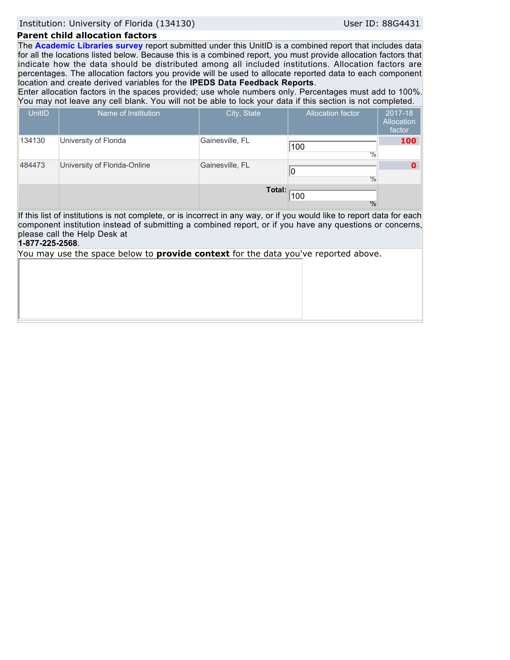Institution: University of Florida (134130) User ID: 88G4431

### **Parent child allocation factors**

The **Academic Libraries survey** report submitted under this UnitID is a combined report that includes data for all the locations listed below. Because this is a combined report, you must provide allocation factors that indicate how the data should be distributed among all included institutions. Allocation factors are percentages. The allocation factors you provide will be used to allocate reported data to each component location and create derived variables for the **IPEDS Data Feedback Reports**.

Enter allocation factors in the spaces provided; use whole numbers only. Percentages must add to 100%. You may not leave any cell blank. You will not be able to lock your data if this section is not completed.

| <b>UnitID</b>                                                                                                                                                                                                                                                                         | Name of Institution          | City, State     | <b>Allocation factor</b> | 2017-18<br><b>Allocation</b><br>factor |  |  |
|---------------------------------------------------------------------------------------------------------------------------------------------------------------------------------------------------------------------------------------------------------------------------------------|------------------------------|-----------------|--------------------------|----------------------------------------|--|--|
| 134130                                                                                                                                                                                                                                                                                | University of Florida        | Gainesville, FL | 100<br>$\frac{0}{0}$     | 100                                    |  |  |
| 484473                                                                                                                                                                                                                                                                                | University of Florida-Online | Gainesville, FL | $\frac{0}{0}$            | Ω                                      |  |  |
|                                                                                                                                                                                                                                                                                       |                              | Total:          | 100<br>$\frac{0}{0}$     |                                        |  |  |
| If this list of institutions is not complete, or is incorrect in any way, or if you would like to report data for each<br>component institution instead of submitting a combined report, or if you have any questions or concerns,<br>please call the Help Desk at<br>1-877-225-2568. |                              |                 |                          |                                        |  |  |
| You may use the space below to <b>provide context</b> for the data you've reported above.                                                                                                                                                                                             |                              |                 |                          |                                        |  |  |
|                                                                                                                                                                                                                                                                                       |                              |                 |                          |                                        |  |  |
|                                                                                                                                                                                                                                                                                       |                              |                 |                          |                                        |  |  |
|                                                                                                                                                                                                                                                                                       |                              |                 |                          |                                        |  |  |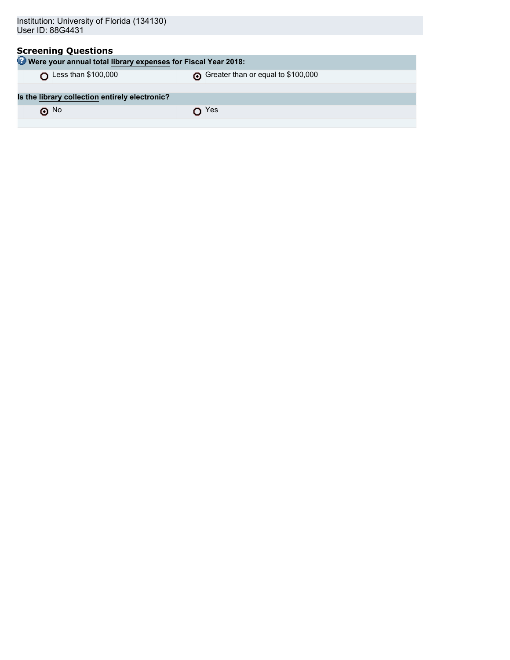| Institution: University of Florida (134130)<br>User ID: 88G4431                             |                                    |  |  |  |  |
|---------------------------------------------------------------------------------------------|------------------------------------|--|--|--|--|
| <b>Screening Questions</b><br>Were your annual total library expenses for Fiscal Year 2018: |                                    |  |  |  |  |
|                                                                                             |                                    |  |  |  |  |
| Less than \$100,000                                                                         | Greater than or equal to \$100,000 |  |  |  |  |
|                                                                                             |                                    |  |  |  |  |
| Is the library collection entirely electronic?                                              |                                    |  |  |  |  |
| $\odot$ No                                                                                  | Yes                                |  |  |  |  |
|                                                                                             |                                    |  |  |  |  |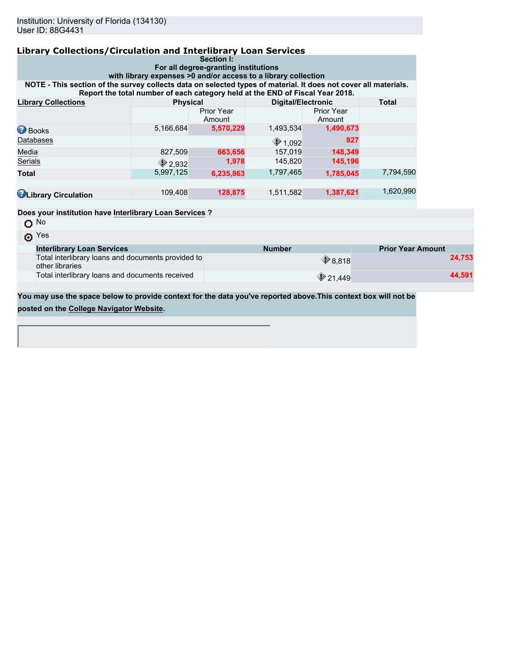| <b>Library Collections/Circulation and Interlibrary Loan Services</b>                                           |                                                                               |                             |                           |                             |              |  |  |
|-----------------------------------------------------------------------------------------------------------------|-------------------------------------------------------------------------------|-----------------------------|---------------------------|-----------------------------|--------------|--|--|
|                                                                                                                 |                                                                               | Section I:                  |                           |                             |              |  |  |
| For all degree-granting institutions<br>with library expenses >0 and/or access to a library collection          |                                                                               |                             |                           |                             |              |  |  |
| NOTE - This section of the survey collects data on selected types of material. It does not cover all materials. | Report the total number of each category held at the END of Fiscal Year 2018. |                             |                           |                             |              |  |  |
| <b>Library Collections</b>                                                                                      | <b>Physical</b>                                                               |                             | <b>Digital/Electronic</b> |                             | <b>Total</b> |  |  |
|                                                                                                                 |                                                                               | <b>Prior Year</b><br>Amount |                           | <b>Prior Year</b><br>Amount |              |  |  |
| <b>Books</b>                                                                                                    | 5,166,684                                                                     | 5,570,229                   | 1,493,534                 | 1,490,673                   |              |  |  |
| Databases                                                                                                       |                                                                               |                             | $\bigcirc$ 1,092          | 827                         |              |  |  |
| Media                                                                                                           | 827,509                                                                       | 663,656                     | 157.019                   | 148,349                     |              |  |  |
| Serials                                                                                                         | $\bigcirc$ 2.932                                                              | 1,978                       | 145,820                   | 145,196                     |              |  |  |
| <b>Total</b>                                                                                                    | 5,997,125                                                                     | 6,235,863                   | 1,797,465                 | 1,785,045                   | 7,794,590    |  |  |
|                                                                                                                 |                                                                               |                             |                           |                             |              |  |  |
| <b>C</b> Library Circulation                                                                                    | 109,408                                                                       | 128,875                     | 1,511,582                 | 1,387,621                   | 1,620,990    |  |  |
|                                                                                                                 |                                                                               |                             |                           |                             |              |  |  |
| Does your institution have Interlibrary Loan Services ?                                                         |                                                                               |                             |                           |                             |              |  |  |
| $O$ No                                                                                                          |                                                                               |                             |                           |                             |              |  |  |
|                                                                                                                 |                                                                               |                             |                           |                             |              |  |  |

| $\odot$ Yes                                                           |                   |                          |
|-----------------------------------------------------------------------|-------------------|--------------------------|
| <b>Interlibrary Loan Services</b>                                     | <b>Number</b>     | <b>Prior Year Amount</b> |
| Total interlibrary loans and documents provided to<br>other libraries | $\bullet$ 8.818   | 24.753                   |
| Total interlibrary loans and documents received                       | $\bigcirc$ 21.449 | 44.591                   |

**You may use the space below to provide context for the data you've reported above.This context box will not be posted on the [College Navigator Website.](http://nces.ed.gov/collegenavigator/)**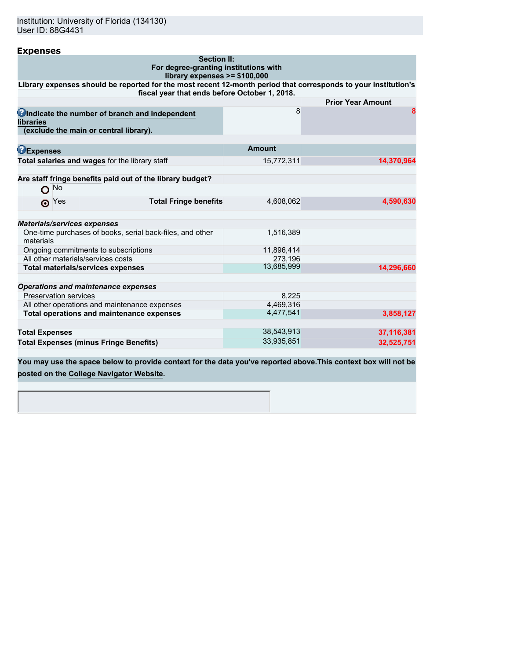| <b>Expenses</b>                                                                                                |                       |                          |
|----------------------------------------------------------------------------------------------------------------|-----------------------|--------------------------|
| <b>Section II:</b>                                                                                             |                       |                          |
| For degree-granting institutions with<br>library expenses >= \$100,000                                         |                       |                          |
| Library expenses should be reported for the most recent 12-month period that corresponds to your institution's |                       |                          |
| fiscal year that ends before October 1, 2018.                                                                  |                       |                          |
|                                                                                                                |                       | <b>Prior Year Amount</b> |
| Undicate the number of branch and independent<br><b>libraries</b><br>(exclude the main or central library).    | 8                     | 8                        |
|                                                                                                                |                       |                          |
| <b>DExpenses</b>                                                                                               | <b>Amount</b>         |                          |
| Total salaries and wages for the library staff                                                                 | 15,772,311            | 14,370,964               |
|                                                                                                                |                       |                          |
| Are staff fringe benefits paid out of the library budget?                                                      |                       |                          |
| $O$ No                                                                                                         |                       |                          |
| <b>Total Fringe benefits</b><br>$\odot$ Yes                                                                    | 4,608,062             | 4,590,630                |
| <b>Materials/services expenses</b>                                                                             |                       |                          |
| One-time purchases of books, serial back-files, and other                                                      | 1,516,389             |                          |
| materials                                                                                                      |                       |                          |
| Ongoing commitments to subscriptions                                                                           | 11,896,414            |                          |
| All other materials/services costs                                                                             | 273.196<br>13.685.999 |                          |
| <b>Total materials/services expenses</b>                                                                       |                       | 14,296,660               |
| <b>Operations and maintenance expenses</b>                                                                     |                       |                          |
| <b>Preservation services</b>                                                                                   | 8,225                 |                          |
| All other operations and maintenance expenses                                                                  | 4.469.316             |                          |
| Total operations and maintenance expenses                                                                      | 4,477,541             | 3,858,127                |
| <b>Total Expenses</b>                                                                                          | 38,543,913            | 37,116,381               |
| <b>Total Expenses (minus Fringe Benefits)</b>                                                                  | 33,935,851            | 32,525,751               |
|                                                                                                                |                       |                          |

**You may use the space below to provide context for the data you've reported above.This context box will not be posted on the [College Navigator Website.](http://nces.ed.gov/collegenavigator/)**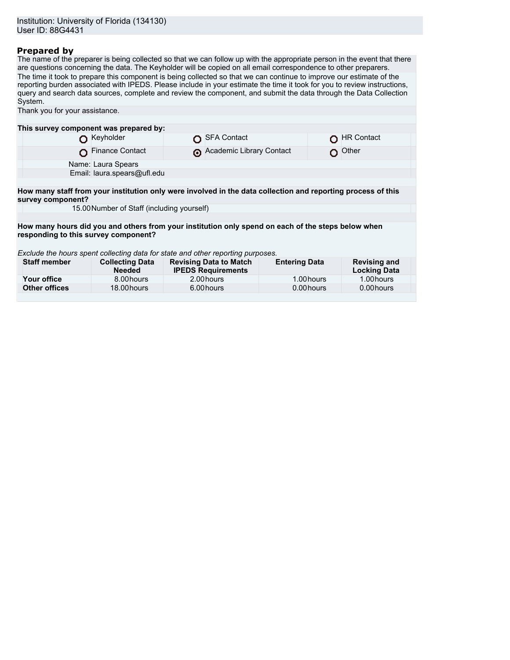### **Prepared by**

The name of the preparer is being collected so that we can follow up with the appropriate person in the event that there are questions concerning the data. The Keyholder will be copied on all email correspondence to other preparers. The time it took to prepare this component is being collected so that we can continue to improve our estimate of the reporting burden associated with IPEDS. Please include in your estimate the time it took for you to review instructions, query and search data sources, complete and review the component, and submit the data through the Data Collection System.

| Thank you for your assistance.                                                                                                    |                                            |  |                                                            |                      |  |                                            |
|-----------------------------------------------------------------------------------------------------------------------------------|--------------------------------------------|--|------------------------------------------------------------|----------------------|--|--------------------------------------------|
|                                                                                                                                   |                                            |  |                                                            |                      |  |                                            |
| This survey component was prepared by:                                                                                            |                                            |  |                                                            |                      |  |                                            |
|                                                                                                                                   | Keyholder                                  |  | <b>SFA Contact</b>                                         |                      |  | <b>HR Contact</b>                          |
|                                                                                                                                   | <b>Finance Contact</b>                     |  | Academic Library Contact                                   |                      |  | Other                                      |
|                                                                                                                                   | Name: Laura Spears                         |  |                                                            |                      |  |                                            |
|                                                                                                                                   | Email: laura.spears@ufl.edu                |  |                                                            |                      |  |                                            |
|                                                                                                                                   |                                            |  |                                                            |                      |  |                                            |
| How many staff from your institution only were involved in the data collection and reporting process of this<br>survey component? |                                            |  |                                                            |                      |  |                                            |
|                                                                                                                                   | 15.00 Number of Staff (including yourself) |  |                                                            |                      |  |                                            |
|                                                                                                                                   |                                            |  |                                                            |                      |  |                                            |
| How many hours did you and others from your institution only spend on each of the steps below when                                |                                            |  |                                                            |                      |  |                                            |
| responding to this survey component?                                                                                              |                                            |  |                                                            |                      |  |                                            |
|                                                                                                                                   |                                            |  |                                                            |                      |  |                                            |
| Exclude the hours spent collecting data for state and other reporting purposes.                                                   |                                            |  |                                                            |                      |  |                                            |
| <b>Staff member</b>                                                                                                               | <b>Collecting Data</b><br><b>Needed</b>    |  | <b>Revising Data to Match</b><br><b>IPEDS Requirements</b> | <b>Entering Data</b> |  | <b>Revising and</b><br><b>Locking Data</b> |
| Your office                                                                                                                       | 8.00 hours                                 |  | 2.00 hours                                                 | 1.00 hours           |  | 1.00 hours                                 |
| <b>Other offices</b>                                                                                                              | 18.00 hours                                |  | 6.00 hours                                                 | 0.00 hours           |  | 0.00 hours                                 |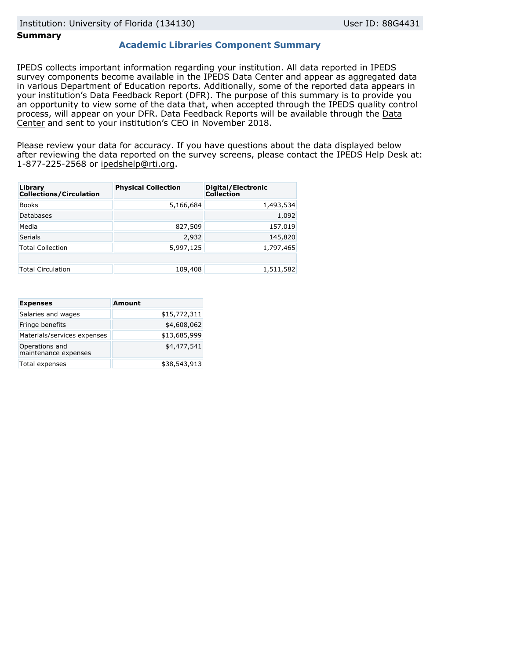### **Summary**

### **Academic Libraries Component Summary**

IPEDS collects important information regarding your institution. All data reported in IPEDS survey components become available in the IPEDS Data Center and appear as aggregated data in various Department of Education reports. Additionally, some of the reported data appears in your institution's Data Feedback Report (DFR). The purpose of this summary is to provide you an opportunity to view some of the data that, when accepted through the IPEDS quality control process, will appear on your DFR. Data Feedback Reports will be available through the [Data](https://nces.ed.gov/ipeds/use-the-data) [Center](https://nces.ed.gov/ipeds/use-the-data) and sent to your institution's CEO in November 2018.

Please review your data for accuracy. If you have questions about the data displayed below after reviewing the data reported on the survey screens, please contact the IPEDS Help Desk at: 1-877-225-2568 or ipedshelp@rti.org.

| Library<br><b>Collections/Circulation</b> | <b>Physical Collection</b> | Digital/Electronic<br><b>Collection</b> |
|-------------------------------------------|----------------------------|-----------------------------------------|
| <b>Books</b>                              | 5,166,684                  | 1,493,534                               |
| <b>Databases</b>                          |                            | 1,092                                   |
| Media                                     | 827,509                    | 157,019                                 |
| <b>Serials</b>                            | 2,932                      | 145,820                                 |
| <b>Total Collection</b>                   | 5,997,125                  | 1,797,465                               |
|                                           |                            |                                         |
| <b>Total Circulation</b>                  | 109,408                    | 1,511,582                               |

| <b>Expenses</b>                        | <b>Amount</b> |
|----------------------------------------|---------------|
| Salaries and wages                     | \$15,772,311  |
| Fringe benefits                        | \$4,608,062   |
| Materials/services expenses            | \$13,685,999  |
| Operations and<br>maintenance expenses | \$4,477,541   |
| Total expenses                         | \$38,543,913  |